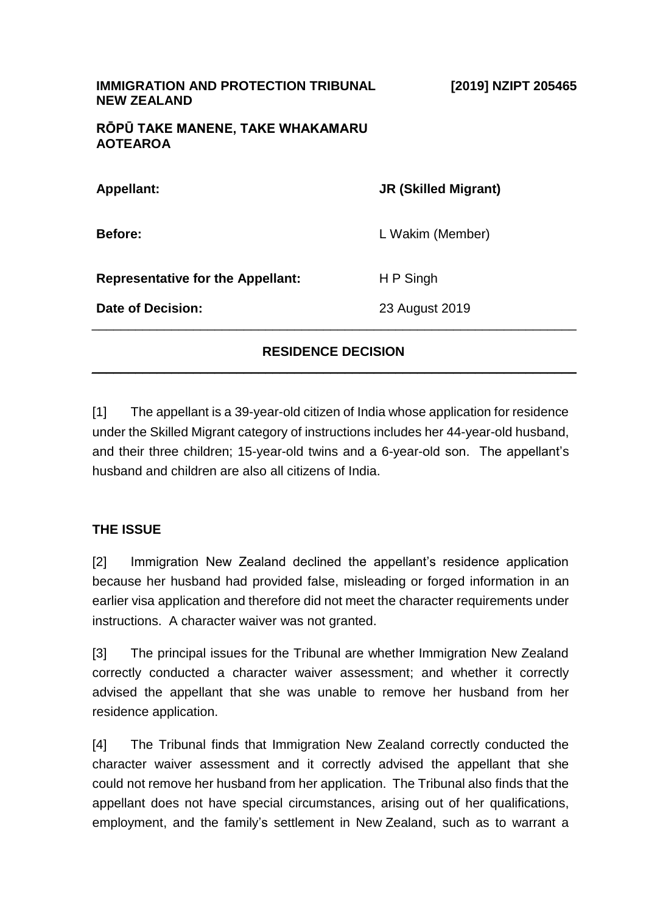| <b>IMMIGRATION AND PROTECTION TRIBUNAL</b><br><b>NEW ZEALAND</b> | [2019] NZIPT 205465         |
|------------------------------------------------------------------|-----------------------------|
| RŌPŪ TAKE MANENE, TAKE WHAKAMARU<br><b>AOTEAROA</b>              |                             |
| <b>Appellant:</b>                                                | <b>JR (Skilled Migrant)</b> |
| <b>Before:</b>                                                   | L Wakim (Member)            |
| <b>Representative for the Appellant:</b>                         | H P Singh                   |
| Date of Decision:                                                | 23 August 2019              |
|                                                                  |                             |

#### **RESIDENCE DECISION**  $\frac{1}{2}$  ,  $\frac{1}{2}$  ,  $\frac{1}{2}$  ,  $\frac{1}{2}$  ,  $\frac{1}{2}$  ,  $\frac{1}{2}$  ,  $\frac{1}{2}$  ,  $\frac{1}{2}$  ,  $\frac{1}{2}$  ,  $\frac{1}{2}$  ,  $\frac{1}{2}$  ,  $\frac{1}{2}$  ,  $\frac{1}{2}$  ,  $\frac{1}{2}$  ,  $\frac{1}{2}$  ,  $\frac{1}{2}$  ,  $\frac{1}{2}$  ,  $\frac{1}{2}$  ,  $\frac{1$

[1] The appellant is a 39-year-old citizen of India whose application for residence under the Skilled Migrant category of instructions includes her 44-year-old husband, and their three children; 15-year-old twins and a 6-year-old son. The appellant's husband and children are also all citizens of India.

#### **THE ISSUE**

[2] Immigration New Zealand declined the appellant's residence application because her husband had provided false, misleading or forged information in an earlier visa application and therefore did not meet the character requirements under instructions. A character waiver was not granted.

[3] The principal issues for the Tribunal are whether Immigration New Zealand correctly conducted a character waiver assessment; and whether it correctly advised the appellant that she was unable to remove her husband from her residence application.

[4] The Tribunal finds that Immigration New Zealand correctly conducted the character waiver assessment and it correctly advised the appellant that she could not remove her husband from her application. The Tribunal also finds that the appellant does not have special circumstances, arising out of her qualifications, employment, and the family's settlement in New Zealand, such as to warrant a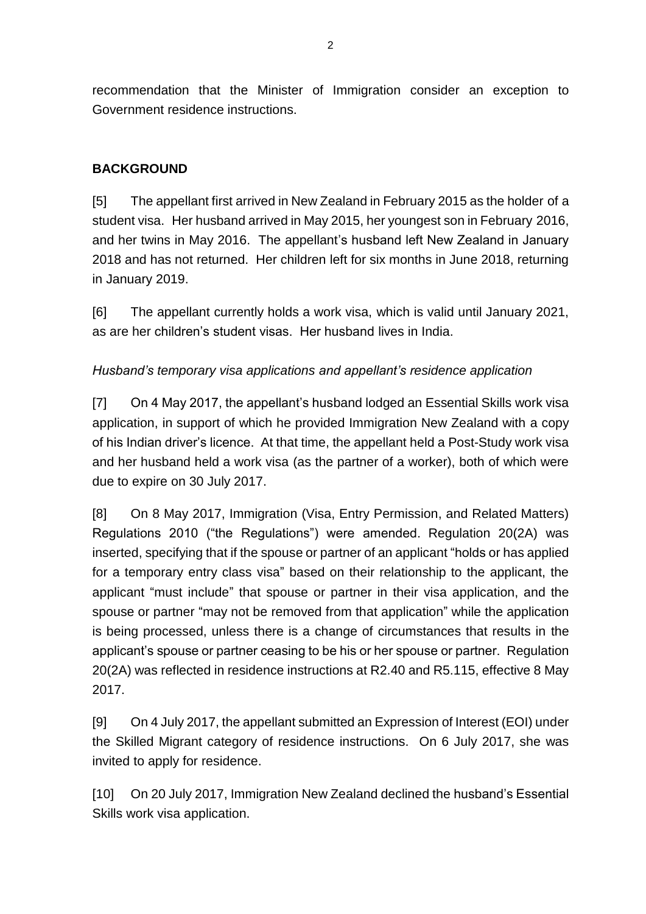recommendation that the Minister of Immigration consider an exception to Government residence instructions.

# **BACKGROUND**

[5] The appellant first arrived in New Zealand in February 2015 as the holder of a student visa. Her husband arrived in May 2015, her youngest son in February 2016, and her twins in May 2016. The appellant's husband left New Zealand in January 2018 and has not returned. Her children left for six months in June 2018, returning in January 2019.

[6] The appellant currently holds a work visa, which is valid until January 2021, as are her children's student visas. Her husband lives in India.

## *Husband's temporary visa applications and appellant's residence application*

[7] On 4 May 2017, the appellant's husband lodged an Essential Skills work visa application, in support of which he provided Immigration New Zealand with a copy of his Indian driver's licence. At that time, the appellant held a Post-Study work visa and her husband held a work visa (as the partner of a worker), both of which were due to expire on 30 July 2017.

[8] On 8 May 2017, Immigration (Visa, Entry Permission, and Related Matters) Regulations 2010 ("the Regulations") were amended. Regulation 20(2A) was inserted, specifying that if the spouse or partner of an applicant "holds or has applied for a temporary entry class visa" based on their relationship to the applicant, the applicant "must include" that spouse or partner in their visa application, and the spouse or partner "may not be removed from that application" while the application is being processed, unless there is a change of circumstances that results in the applicant's spouse or partner ceasing to be his or her spouse or partner. Regulation 20(2A) was reflected in residence instructions at R2.40 and R5.115, effective 8 May 2017.

[9] On 4 July 2017, the appellant submitted an Expression of Interest (EOI) under the Skilled Migrant category of residence instructions. On 6 July 2017, she was invited to apply for residence.

[10] On 20 July 2017, Immigration New Zealand declined the husband's Essential Skills work visa application.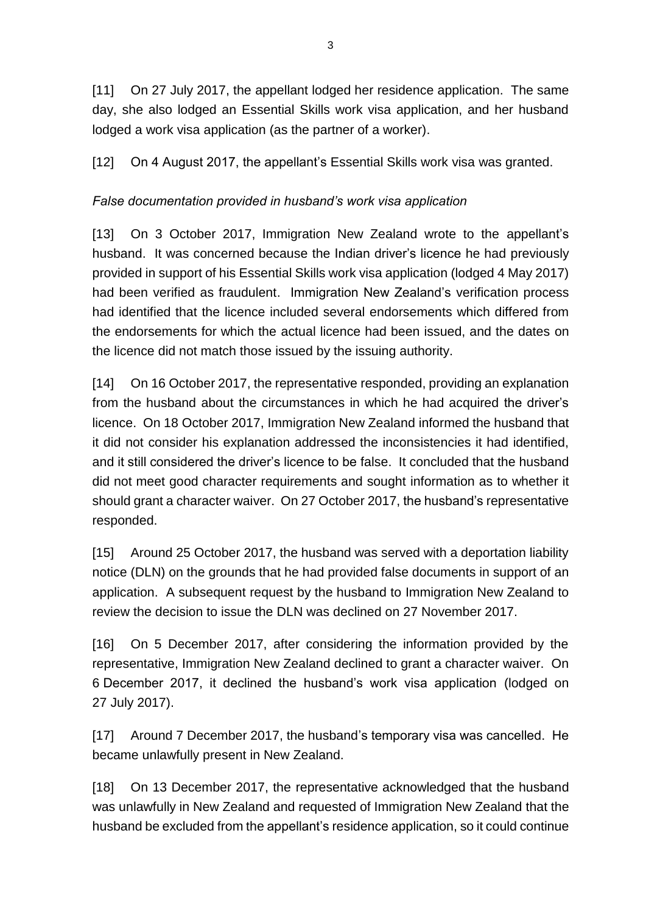[11] On 27 July 2017, the appellant lodged her residence application. The same day, she also lodged an Essential Skills work visa application, and her husband lodged a work visa application (as the partner of a worker).

[12] On 4 August 2017, the appellant's Essential Skills work visa was granted.

# *False documentation provided in husband's work visa application*

[13] On 3 October 2017, Immigration New Zealand wrote to the appellant's husband. It was concerned because the Indian driver's licence he had previously provided in support of his Essential Skills work visa application (lodged 4 May 2017) had been verified as fraudulent. Immigration New Zealand's verification process had identified that the licence included several endorsements which differed from the endorsements for which the actual licence had been issued, and the dates on the licence did not match those issued by the issuing authority.

[14] On 16 October 2017, the representative responded, providing an explanation from the husband about the circumstances in which he had acquired the driver's licence. On 18 October 2017, Immigration New Zealand informed the husband that it did not consider his explanation addressed the inconsistencies it had identified, and it still considered the driver's licence to be false. It concluded that the husband did not meet good character requirements and sought information as to whether it should grant a character waiver. On 27 October 2017, the husband's representative responded.

[15] Around 25 October 2017, the husband was served with a deportation liability notice (DLN) on the grounds that he had provided false documents in support of an application. A subsequent request by the husband to Immigration New Zealand to review the decision to issue the DLN was declined on 27 November 2017.

[16] On 5 December 2017, after considering the information provided by the representative, Immigration New Zealand declined to grant a character waiver. On 6 December 2017, it declined the husband's work visa application (lodged on 27 July 2017).

[17] Around 7 December 2017, the husband's temporary visa was cancelled. He became unlawfully present in New Zealand.

[18] On 13 December 2017, the representative acknowledged that the husband was unlawfully in New Zealand and requested of Immigration New Zealand that the husband be excluded from the appellant's residence application, so it could continue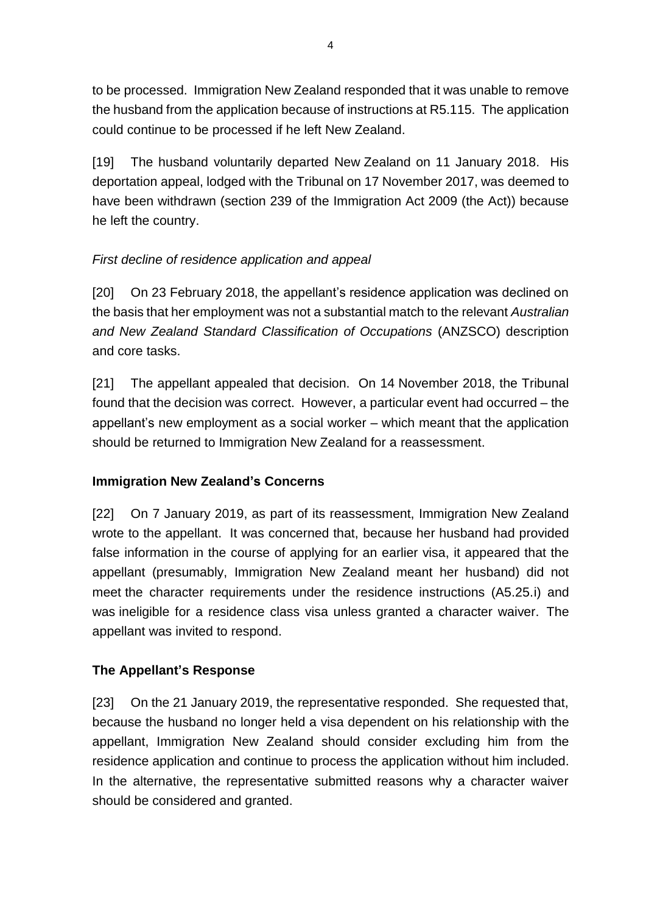to be processed. Immigration New Zealand responded that it was unable to remove the husband from the application because of instructions at R5.115. The application could continue to be processed if he left New Zealand.

[19] The husband voluntarily departed New Zealand on 11 January 2018. His deportation appeal, lodged with the Tribunal on 17 November 2017, was deemed to have been withdrawn (section 239 of the Immigration Act 2009 (the Act)) because he left the country.

# *First decline of residence application and appeal*

[20] On 23 February 2018, the appellant's residence application was declined on the basis that her employment was not a substantial match to the relevant *Australian and New Zealand Standard Classification of Occupations* (ANZSCO) description and core tasks.

[21] The appellant appealed that decision. On 14 November 2018, the Tribunal found that the decision was correct. However, a particular event had occurred – the appellant's new employment as a social worker – which meant that the application should be returned to Immigration New Zealand for a reassessment.

## **Immigration New Zealand's Concerns**

[22] On 7 January 2019, as part of its reassessment, Immigration New Zealand wrote to the appellant. It was concerned that, because her husband had provided false information in the course of applying for an earlier visa, it appeared that the appellant (presumably, Immigration New Zealand meant her husband) did not meet the character requirements under the residence instructions (A5.25.i) and was ineligible for a residence class visa unless granted a character waiver. The appellant was invited to respond.

# **The Appellant's Response**

[23] On the 21 January 2019, the representative responded. She requested that, because the husband no longer held a visa dependent on his relationship with the appellant, Immigration New Zealand should consider excluding him from the residence application and continue to process the application without him included. In the alternative, the representative submitted reasons why a character waiver should be considered and granted.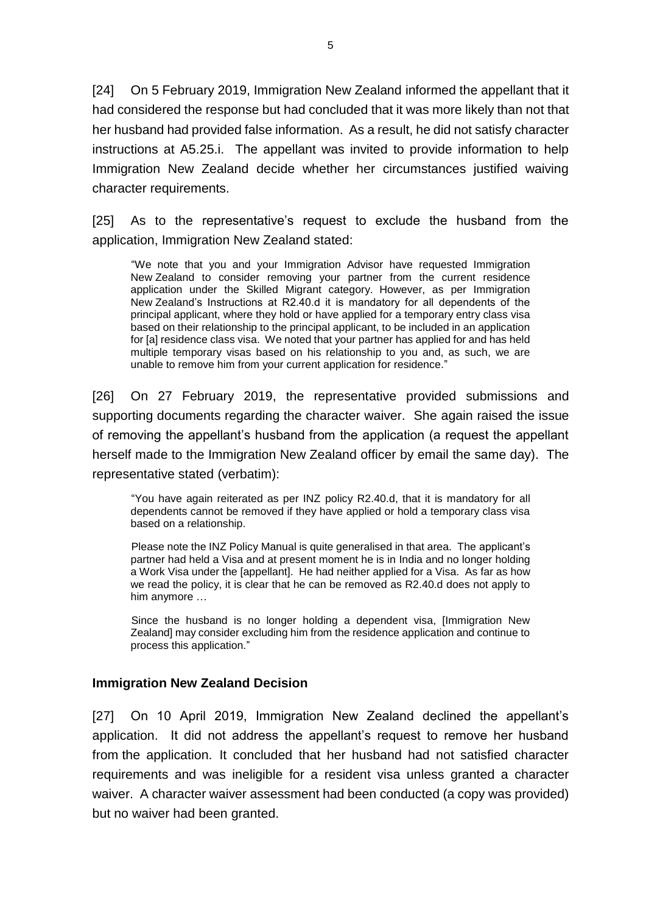[24] On 5 February 2019, Immigration New Zealand informed the appellant that it had considered the response but had concluded that it was more likely than not that her husband had provided false information. As a result, he did not satisfy character instructions at A5.25.i. The appellant was invited to provide information to help Immigration New Zealand decide whether her circumstances justified waiving character requirements.

[25] As to the representative's request to exclude the husband from the application, Immigration New Zealand stated:

"We note that you and your Immigration Advisor have requested Immigration New Zealand to consider removing your partner from the current residence application under the Skilled Migrant category. However, as per Immigration New Zealand's Instructions at R2.40.d it is mandatory for all dependents of the principal applicant, where they hold or have applied for a temporary entry class visa based on their relationship to the principal applicant, to be included in an application for [a] residence class visa. We noted that your partner has applied for and has held multiple temporary visas based on his relationship to you and, as such, we are unable to remove him from your current application for residence."

[26] On 27 February 2019, the representative provided submissions and supporting documents regarding the character waiver. She again raised the issue of removing the appellant's husband from the application (a request the appellant herself made to the Immigration New Zealand officer by email the same day). The representative stated (verbatim):

"You have again reiterated as per INZ policy R2.40.d, that it is mandatory for all dependents cannot be removed if they have applied or hold a temporary class visa based on a relationship.

Please note the INZ Policy Manual is quite generalised in that area. The applicant's partner had held a Visa and at present moment he is in India and no longer holding a Work Visa under the [appellant]. He had neither applied for a Visa. As far as how we read the policy, it is clear that he can be removed as R2.40.d does not apply to him anymore …

Since the husband is no longer holding a dependent visa, [Immigration New Zealand] may consider excluding him from the residence application and continue to process this application."

#### **Immigration New Zealand Decision**

[27] On 10 April 2019, Immigration New Zealand declined the appellant's application. It did not address the appellant's request to remove her husband from the application. It concluded that her husband had not satisfied character requirements and was ineligible for a resident visa unless granted a character waiver. A character waiver assessment had been conducted (a copy was provided) but no waiver had been granted.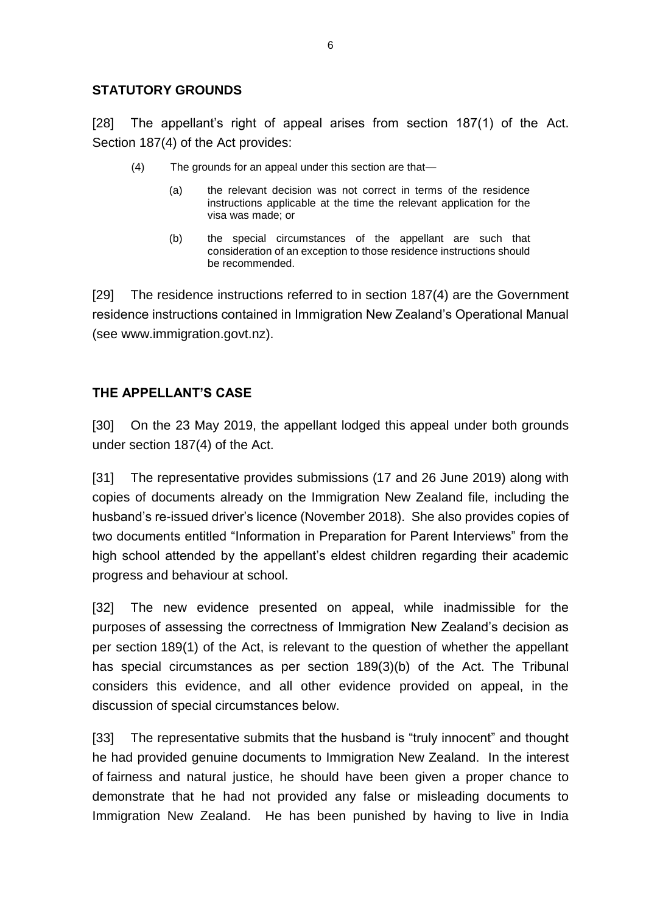#### **STATUTORY GROUNDS**

[28] The appellant's right of appeal arises from section 187(1) of the Act. Section 187(4) of the Act provides:

- (4) The grounds for an appeal under this section are that—
	- (a) the relevant decision was not correct in terms of the residence instructions applicable at the time the relevant application for the visa was made; or
	- (b) the special circumstances of the appellant are such that consideration of an exception to those residence instructions should be recommended.

[29] The residence instructions referred to in section 187(4) are the Government residence instructions contained in Immigration New Zealand's Operational Manual (see www.immigration.govt.nz).

# **THE APPELLANT'S CASE**

[30] On the 23 May 2019, the appellant lodged this appeal under both grounds under section 187(4) of the Act.

[31] The representative provides submissions (17 and 26 June 2019) along with copies of documents already on the Immigration New Zealand file, including the husband's re-issued driver's licence (November 2018). She also provides copies of two documents entitled "Information in Preparation for Parent Interviews" from the high school attended by the appellant's eldest children regarding their academic progress and behaviour at school.

[32] The new evidence presented on appeal, while inadmissible for the purposes of assessing the correctness of Immigration New Zealand's decision as per section 189(1) of the Act, is relevant to the question of whether the appellant has special circumstances as per section 189(3)(b) of the Act. The Tribunal considers this evidence, and all other evidence provided on appeal, in the discussion of special circumstances below.

[33] The representative submits that the husband is "truly innocent" and thought he had provided genuine documents to Immigration New Zealand. In the interest of fairness and natural justice, he should have been given a proper chance to demonstrate that he had not provided any false or misleading documents to Immigration New Zealand. He has been punished by having to live in India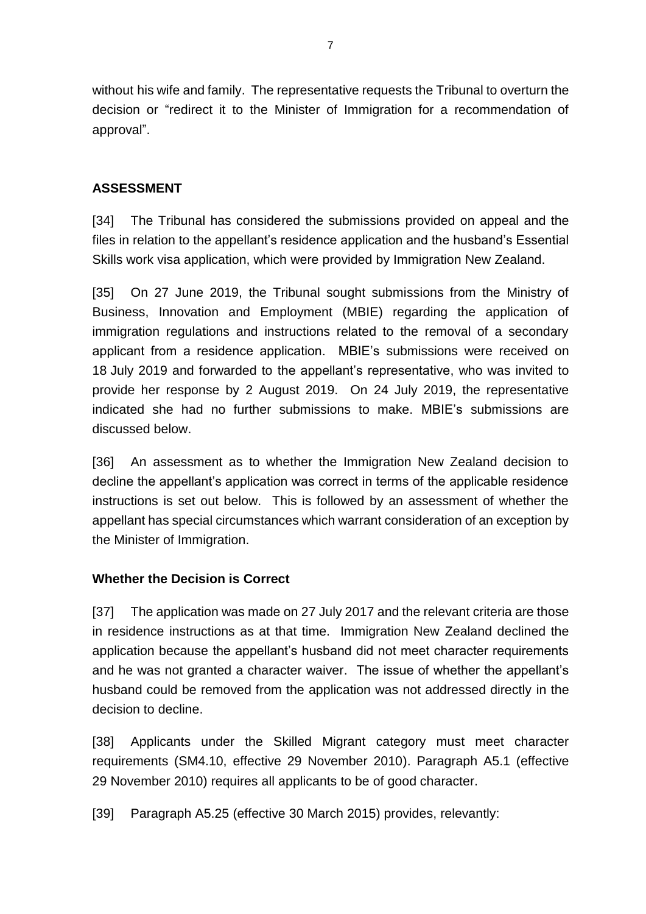without his wife and family. The representative requests the Tribunal to overturn the decision or "redirect it to the Minister of Immigration for a recommendation of approval".

### **ASSESSMENT**

[34] The Tribunal has considered the submissions provided on appeal and the files in relation to the appellant's residence application and the husband's Essential Skills work visa application, which were provided by Immigration New Zealand.

[35] On 27 June 2019, the Tribunal sought submissions from the Ministry of Business, Innovation and Employment (MBIE) regarding the application of immigration regulations and instructions related to the removal of a secondary applicant from a residence application. MBIE's submissions were received on 18 July 2019 and forwarded to the appellant's representative, who was invited to provide her response by 2 August 2019. On 24 July 2019, the representative indicated she had no further submissions to make. MBIE's submissions are discussed below.

[36] An assessment as to whether the Immigration New Zealand decision to decline the appellant's application was correct in terms of the applicable residence instructions is set out below. This is followed by an assessment of whether the appellant has special circumstances which warrant consideration of an exception by the Minister of Immigration.

#### **Whether the Decision is Correct**

[37] The application was made on 27 July 2017 and the relevant criteria are those in residence instructions as at that time. Immigration New Zealand declined the application because the appellant's husband did not meet character requirements and he was not granted a character waiver. The issue of whether the appellant's husband could be removed from the application was not addressed directly in the decision to decline.

[38] Applicants under the Skilled Migrant category must meet character requirements (SM4.10, effective 29 November 2010). Paragraph A5.1 (effective 29 November 2010) requires all applicants to be of good character.

[39] Paragraph A5.25 (effective 30 March 2015) provides, relevantly: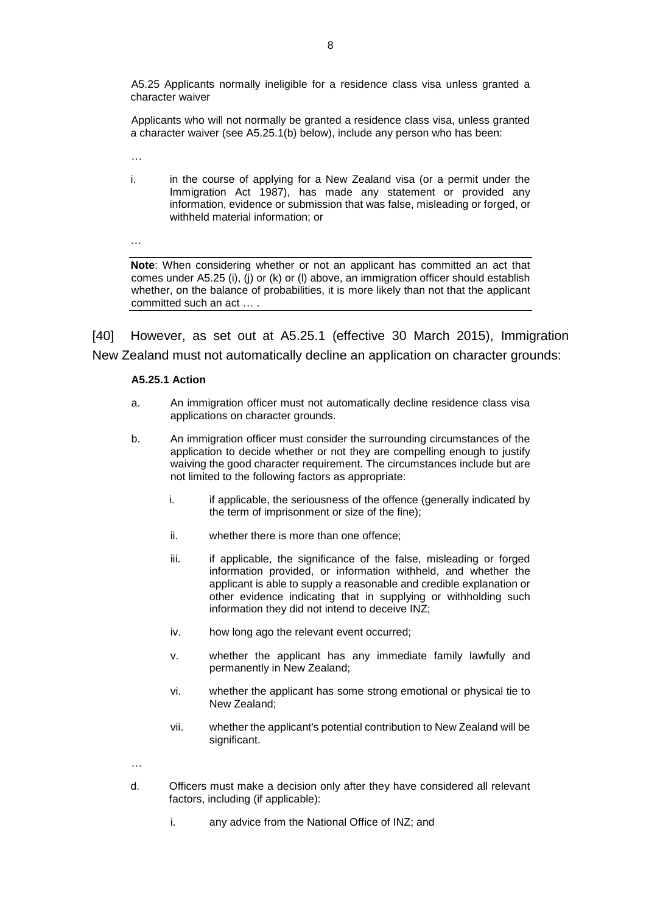A5.25 Applicants normally ineligible for a residence class visa unless granted a character waiver

Applicants who will not normally be granted a residence class visa, unless granted a character waiver (see A5.25.1(b) below), include any person who has been:

…

…

i. in the course of applying for a New Zealand visa (or a permit under the Immigration Act 1987), has made any statement or provided any information, evidence or submission that was false, misleading or forged, or withheld material information; or

**Note**: When considering whether or not an applicant has committed an act that comes under A5.25 (i), (j) or (k) or (l) above, an immigration officer should establish whether, on the balance of probabilities, it is more likely than not that the applicant committed such an act … .

[40] However, as set out at A5.25.1 (effective 30 March 2015), Immigration New Zealand must not automatically decline an application on character grounds:

#### **A5.25.1 Action**

- a. An immigration officer must not automatically decline residence class visa applications on character grounds.
- b. An immigration officer must consider the surrounding circumstances of the application to decide whether or not they are compelling enough to justify waiving the good character requirement. The circumstances include but are not limited to the following factors as appropriate:
	- i. if applicable, the seriousness of the offence (generally indicated by the term of imprisonment or size of the fine);
	- ii. whether there is more than one offence;
	- iii. if applicable, the significance of the false, misleading or forged information provided, or information withheld, and whether the applicant is able to supply a reasonable and credible explanation or other evidence indicating that in supplying or withholding such information they did not intend to deceive INZ;
	- iv. how long ago the relevant event occurred;
	- v. whether the applicant has any immediate family lawfully and permanently in New Zealand;
	- vi. whether the applicant has some strong emotional or physical tie to New Zealand;
	- vii. whether the applicant's potential contribution to New Zealand will be significant.
- …
- d. Officers must make a decision only after they have considered all relevant factors, including (if applicable):
	- i. any advice from the National Office of INZ; and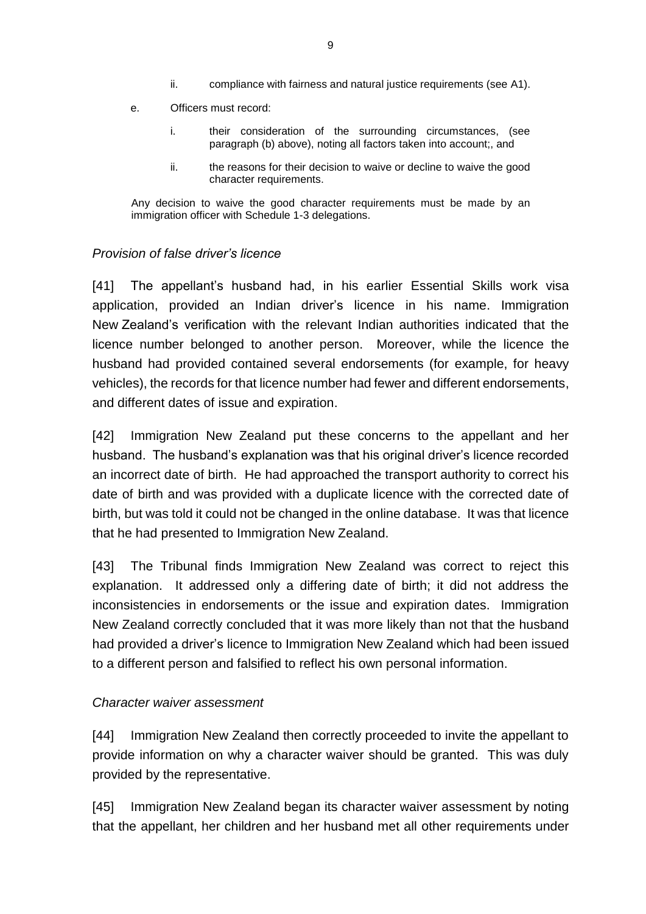- ii. compliance with fairness and natural justice requirements (see A1).
- e. Officers must record:
	- i. their consideration of the surrounding circumstances, (see paragraph (b) above), noting all factors taken into account;, and
	- ii. the reasons for their decision to waive or decline to waive the good character requirements.

Any decision to waive the good character requirements must be made by an immigration officer with Schedule 1-3 delegations.

#### *Provision of false driver's licence*

[41] The appellant's husband had, in his earlier Essential Skills work visa application, provided an Indian driver's licence in his name. Immigration New Zealand's verification with the relevant Indian authorities indicated that the licence number belonged to another person. Moreover, while the licence the husband had provided contained several endorsements (for example, for heavy vehicles), the records for that licence number had fewer and different endorsements, and different dates of issue and expiration.

[42] Immigration New Zealand put these concerns to the appellant and her husband. The husband's explanation was that his original driver's licence recorded an incorrect date of birth. He had approached the transport authority to correct his date of birth and was provided with a duplicate licence with the corrected date of birth, but was told it could not be changed in the online database. It was that licence that he had presented to Immigration New Zealand.

[43] The Tribunal finds Immigration New Zealand was correct to reject this explanation. It addressed only a differing date of birth; it did not address the inconsistencies in endorsements or the issue and expiration dates. Immigration New Zealand correctly concluded that it was more likely than not that the husband had provided a driver's licence to Immigration New Zealand which had been issued to a different person and falsified to reflect his own personal information.

#### *Character waiver assessment*

[44] Immigration New Zealand then correctly proceeded to invite the appellant to provide information on why a character waiver should be granted. This was duly provided by the representative.

[45] Immigration New Zealand began its character waiver assessment by noting that the appellant, her children and her husband met all other requirements under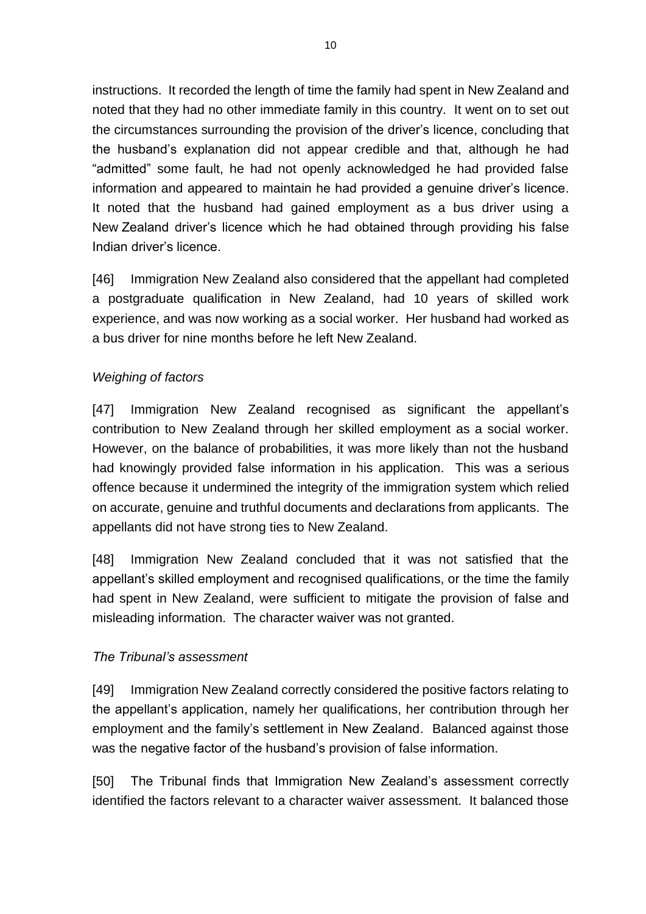instructions. It recorded the length of time the family had spent in New Zealand and noted that they had no other immediate family in this country. It went on to set out the circumstances surrounding the provision of the driver's licence, concluding that the husband's explanation did not appear credible and that, although he had "admitted" some fault, he had not openly acknowledged he had provided false information and appeared to maintain he had provided a genuine driver's licence. It noted that the husband had gained employment as a bus driver using a New Zealand driver's licence which he had obtained through providing his false Indian driver's licence.

[46] Immigration New Zealand also considered that the appellant had completed a postgraduate qualification in New Zealand, had 10 years of skilled work experience, and was now working as a social worker. Her husband had worked as a bus driver for nine months before he left New Zealand.

# *Weighing of factors*

[47] Immigration New Zealand recognised as significant the appellant's contribution to New Zealand through her skilled employment as a social worker. However, on the balance of probabilities, it was more likely than not the husband had knowingly provided false information in his application. This was a serious offence because it undermined the integrity of the immigration system which relied on accurate, genuine and truthful documents and declarations from applicants. The appellants did not have strong ties to New Zealand.

[48] Immigration New Zealand concluded that it was not satisfied that the appellant's skilled employment and recognised qualifications, or the time the family had spent in New Zealand, were sufficient to mitigate the provision of false and misleading information. The character waiver was not granted.

#### *The Tribunal's assessment*

[49] Immigration New Zealand correctly considered the positive factors relating to the appellant's application, namely her qualifications, her contribution through her employment and the family's settlement in New Zealand. Balanced against those was the negative factor of the husband's provision of false information.

[50] The Tribunal finds that Immigration New Zealand's assessment correctly identified the factors relevant to a character waiver assessment. It balanced those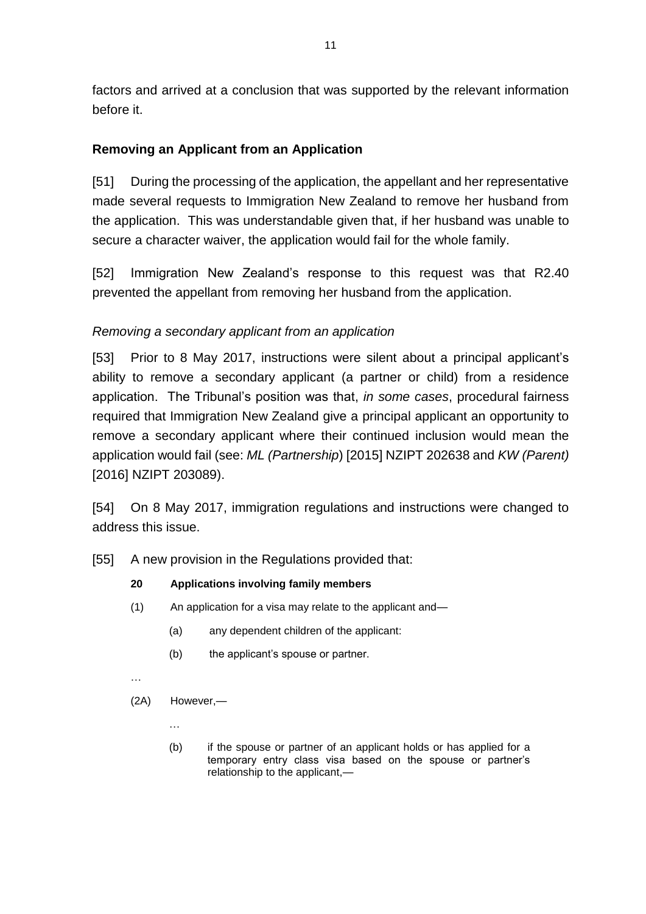factors and arrived at a conclusion that was supported by the relevant information before it.

## **Removing an Applicant from an Application**

[51] During the processing of the application, the appellant and her representative made several requests to Immigration New Zealand to remove her husband from the application. This was understandable given that, if her husband was unable to secure a character waiver, the application would fail for the whole family.

[52] Immigration New Zealand's response to this request was that R2.40 prevented the appellant from removing her husband from the application.

# *Removing a secondary applicant from an application*

[53] Prior to 8 May 2017, instructions were silent about a principal applicant's ability to remove a secondary applicant (a partner or child) from a residence application. The Tribunal's position was that, *in some cases*, procedural fairness required that Immigration New Zealand give a principal applicant an opportunity to remove a secondary applicant where their continued inclusion would mean the application would fail (see: *ML (Partnership*) [2015] NZIPT 202638 and *KW (Parent)* [2016] NZIPT 203089).

[54] On 8 May 2017, immigration regulations and instructions were changed to address this issue.

[55] A new provision in the Regulations provided that:

#### **20 Applications involving family members**

- (1) An application for a visa may relate to the applicant and—
	- (a) any dependent children of the applicant:
	- (b) the applicant's spouse or partner.
- …
- (2A) However,—
	- …
	- (b) if the spouse or partner of an applicant holds or has applied for a temporary entry class visa based on the spouse or partner's relationship to the applicant,—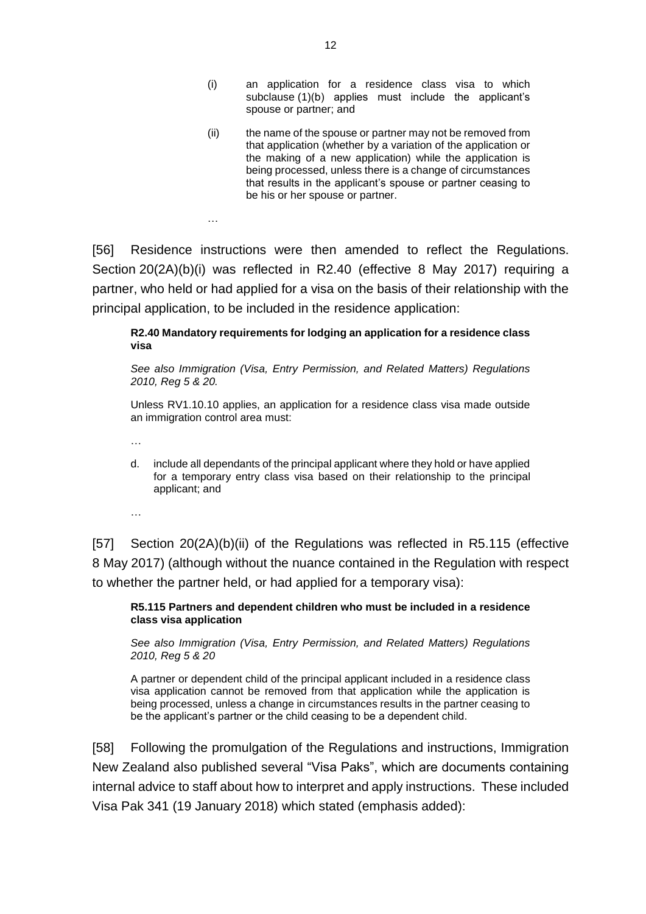- (i) an application for a residence class visa to which subclause (1)(b) applies must include the applicant's spouse or partner; and
- (ii) the name of the spouse or partner may not be removed from that application (whether by a variation of the application or the making of a new application) while the application is being processed, unless there is a change of circumstances that results in the applicant's spouse or partner ceasing to be his or her spouse or partner.

[56] Residence instructions were then amended to reflect the Regulations. Section 20(2A)(b)(i) was reflected in R2.40 (effective 8 May 2017) requiring a partner, who held or had applied for a visa on the basis of their relationship with the principal application, to be included in the residence application:

#### **R2.40 Mandatory requirements for lodging an application for a residence class visa**

*See also Immigration (Visa, Entry Permission, and Related Matters) Regulations 2010, Reg 5 & 20.* 

Unless RV1.10.10 applies, an application for a residence class visa made outside an immigration control area must:

…

…

d. include all dependants of the principal applicant where they hold or have applied for a temporary entry class visa based on their relationship to the principal applicant; and

…

[57] Section 20(2A)(b)(ii) of the Regulations was reflected in R5.115 (effective 8 May 2017) (although without the nuance contained in the Regulation with respect to whether the partner held, or had applied for a temporary visa):

**R5.115 Partners and dependent children who must be included in a residence class visa application**

*See also Immigration (Visa, Entry Permission, and Related Matters) Regulations 2010, Reg 5 & 20*

A partner or dependent child of the principal applicant included in a residence class visa application cannot be removed from that application while the application is being processed, unless a change in circumstances results in the partner ceasing to be the applicant's partner or the child ceasing to be a dependent child.

[58] Following the promulgation of the Regulations and instructions, Immigration New Zealand also published several "Visa Paks", which are documents containing internal advice to staff about how to interpret and apply instructions. These included Visa Pak 341 (19 January 2018) which stated (emphasis added):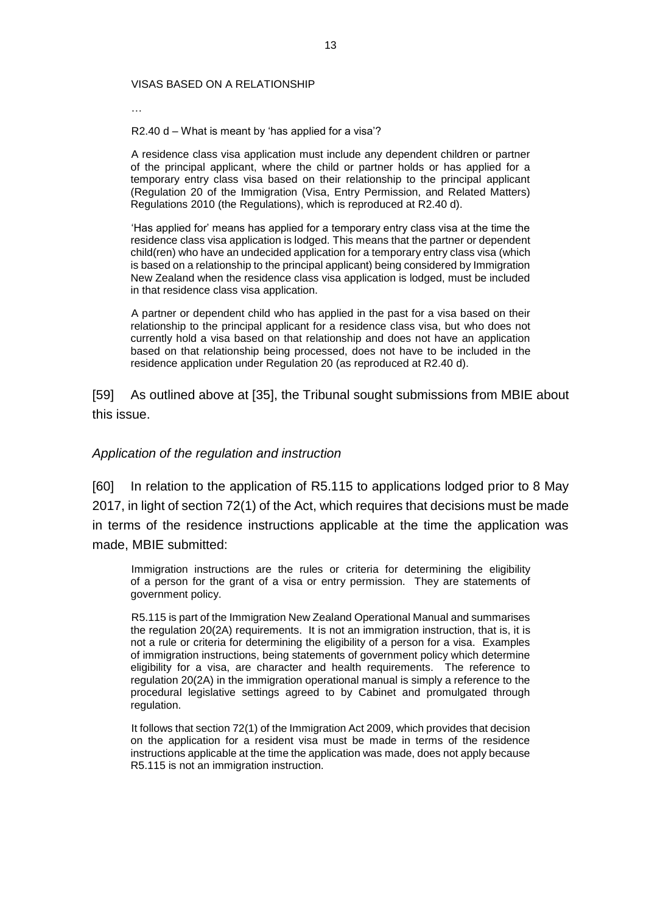#### VISAS BASED ON A RELATIONSHIP

…

R2.40 d – What is meant by 'has applied for a visa'?

A residence class visa application must include any dependent children or partner of the principal applicant, where the child or partner holds or has applied for a temporary entry class visa based on their relationship to the principal applicant (Regulation 20 of the Immigration (Visa, Entry Permission, and Related Matters) Regulations 2010 (the Regulations), which is reproduced at R2.40 d).

'Has applied for' means has applied for a temporary entry class visa at the time the residence class visa application is lodged. This means that the partner or dependent child(ren) who have an undecided application for a temporary entry class visa (which is based on a relationship to the principal applicant) being considered by Immigration New Zealand when the residence class visa application is lodged, must be included in that residence class visa application.

A partner or dependent child who has applied in the past for a visa based on their relationship to the principal applicant for a residence class visa, but who does not currently hold a visa based on that relationship and does not have an application based on that relationship being processed, does not have to be included in the residence application under Regulation 20 (as reproduced at R2.40 d).

[59] As outlined above at [35], the Tribunal sought submissions from MBIE about this issue.

#### *Application of the regulation and instruction*

[60] In relation to the application of R5.115 to applications lodged prior to 8 May 2017, in light of section 72(1) of the Act, which requires that decisions must be made in terms of the residence instructions applicable at the time the application was made, MBIE submitted:

Immigration instructions are the rules or criteria for determining the eligibility of a person for the grant of a visa or entry permission. They are statements of government policy.

R5.115 is part of the Immigration New Zealand Operational Manual and summarises the regulation 20(2A) requirements. It is not an immigration instruction, that is, it is not a rule or criteria for determining the eligibility of a person for a visa. Examples of immigration instructions, being statements of government policy which determine eligibility for a visa, are character and health requirements. The reference to regulation 20(2A) in the immigration operational manual is simply a reference to the procedural legislative settings agreed to by Cabinet and promulgated through regulation.

It follows that section 72(1) of the Immigration Act 2009, which provides that decision on the application for a resident visa must be made in terms of the residence instructions applicable at the time the application was made, does not apply because R5.115 is not an immigration instruction.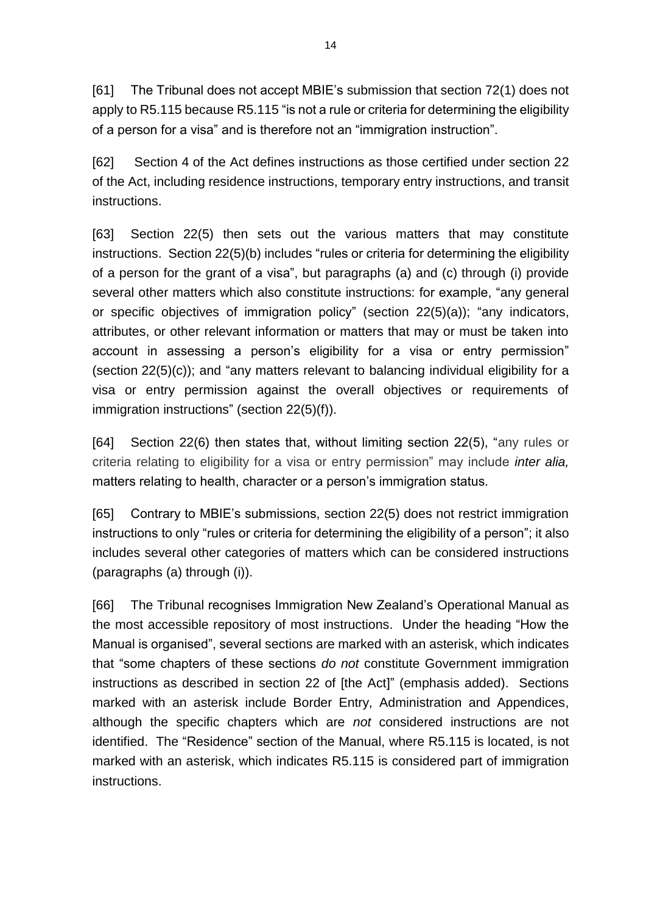[61] The Tribunal does not accept MBIE's submission that section 72(1) does not apply to R5.115 because R5.115 "is not a rule or criteria for determining the eligibility of a person for a visa" and is therefore not an "immigration instruction".

[62] Section 4 of the Act defines instructions as those certified under section 22 of the Act, including residence instructions, temporary entry instructions, and transit instructions.

[63] Section 22(5) then sets out the various matters that may constitute instructions. Section 22(5)(b) includes "rules or criteria for determining the eligibility of a person for the grant of a visa", but paragraphs (a) and (c) through (i) provide several other matters which also constitute instructions: for example, "any general or specific objectives of immigration policy" (section 22(5)(a)); "any indicators, attributes, or other relevant information or matters that may or must be taken into account in assessing a person's eligibility for a visa or entry permission" (section 22(5)(c)); and "any matters relevant to balancing individual eligibility for a visa or entry permission against the overall objectives or requirements of immigration instructions" (section 22(5)(f)).

[64] Section 22(6) then states that, without limiting section 22(5), "any rules or criteria relating to eligibility for a visa or entry permission" may include *inter alia,* matters relating to health, character or a person's immigration status.

[65] Contrary to MBIE's submissions, section 22(5) does not restrict immigration instructions to only "rules or criteria for determining the eligibility of a person"; it also includes several other categories of matters which can be considered instructions (paragraphs (a) through (i)).

[66] The Tribunal recognises Immigration New Zealand's Operational Manual as the most accessible repository of most instructions. Under the heading "How the Manual is organised", several sections are marked with an asterisk, which indicates that "some chapters of these sections *do not* constitute Government immigration instructions as described in section 22 of [the Act]" (emphasis added). Sections marked with an asterisk include Border Entry, Administration and Appendices, although the specific chapters which are *not* considered instructions are not identified. The "Residence" section of the Manual, where R5.115 is located, is not marked with an asterisk, which indicates R5.115 is considered part of immigration instructions.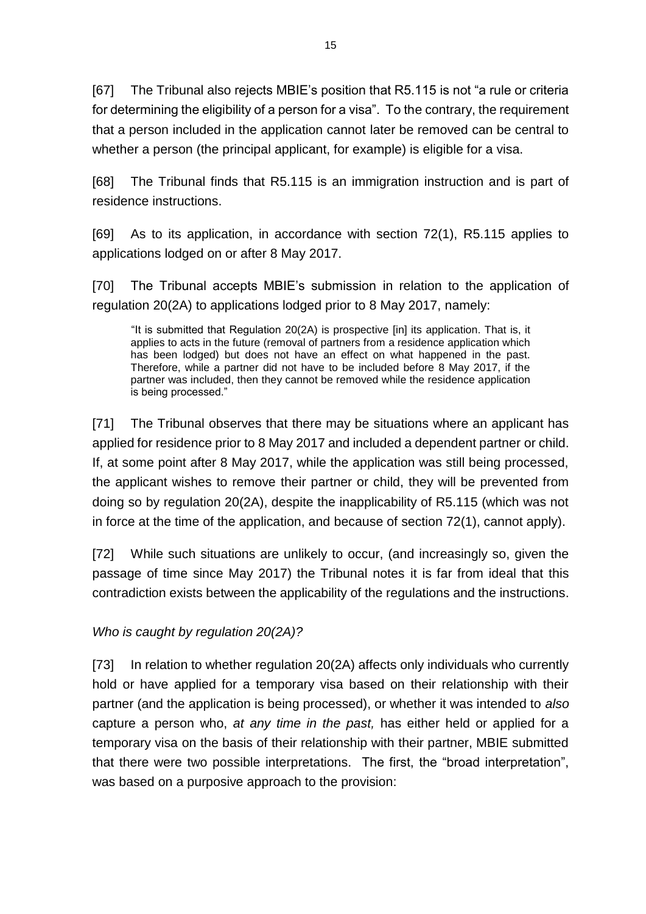[67] The Tribunal also rejects MBIE's position that R5.115 is not "a rule or criteria for determining the eligibility of a person for a visa". To the contrary, the requirement that a person included in the application cannot later be removed can be central to whether a person (the principal applicant, for example) is eligible for a visa.

[68] The Tribunal finds that R5.115 is an immigration instruction and is part of residence instructions.

[69] As to its application, in accordance with section 72(1), R5.115 applies to applications lodged on or after 8 May 2017.

[70] The Tribunal accepts MBIE's submission in relation to the application of regulation 20(2A) to applications lodged prior to 8 May 2017, namely:

"It is submitted that Regulation 20(2A) is prospective [in] its application. That is, it applies to acts in the future (removal of partners from a residence application which has been lodged) but does not have an effect on what happened in the past. Therefore, while a partner did not have to be included before 8 May 2017, if the partner was included, then they cannot be removed while the residence application is being processed."

[71] The Tribunal observes that there may be situations where an applicant has applied for residence prior to 8 May 2017 and included a dependent partner or child. If, at some point after 8 May 2017, while the application was still being processed, the applicant wishes to remove their partner or child, they will be prevented from doing so by regulation 20(2A), despite the inapplicability of R5.115 (which was not in force at the time of the application, and because of section 72(1), cannot apply).

[72] While such situations are unlikely to occur, (and increasingly so, given the passage of time since May 2017) the Tribunal notes it is far from ideal that this contradiction exists between the applicability of the regulations and the instructions.

*Who is caught by regulation 20(2A)?*

[73] In relation to whether regulation 20(2A) affects only individuals who currently hold or have applied for a temporary visa based on their relationship with their partner (and the application is being processed), or whether it was intended to *also*  capture a person who, *at any time in the past,* has either held or applied for a temporary visa on the basis of their relationship with their partner, MBIE submitted that there were two possible interpretations. The first, the "broad interpretation", was based on a purposive approach to the provision: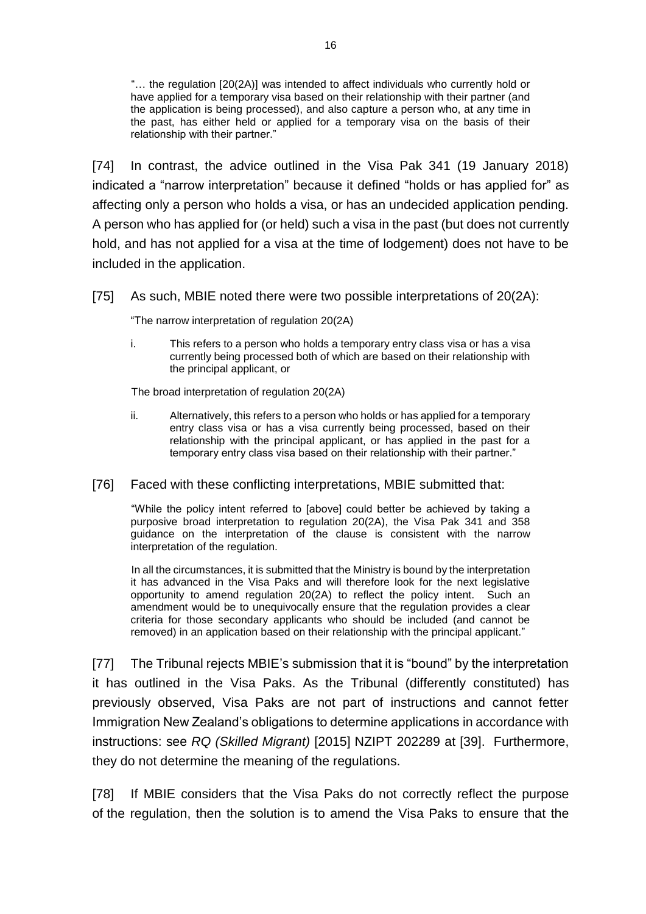"… the regulation [20(2A)] was intended to affect individuals who currently hold or have applied for a temporary visa based on their relationship with their partner (and the application is being processed), and also capture a person who, at any time in the past, has either held or applied for a temporary visa on the basis of their relationship with their partner."

[74] In contrast, the advice outlined in the Visa Pak 341 (19 January 2018) indicated a "narrow interpretation" because it defined "holds or has applied for" as affecting only a person who holds a visa, or has an undecided application pending. A person who has applied for (or held) such a visa in the past (but does not currently hold, and has not applied for a visa at the time of lodgement) does not have to be included in the application.

[75] As such, MBIE noted there were two possible interpretations of 20(2A):

"The narrow interpretation of regulation 20(2A)

i. This refers to a person who holds a temporary entry class visa or has a visa currently being processed both of which are based on their relationship with the principal applicant, or

The broad interpretation of regulation 20(2A)

- ii. Alternatively, this refers to a person who holds or has applied for a temporary entry class visa or has a visa currently being processed, based on their relationship with the principal applicant, or has applied in the past for a temporary entry class visa based on their relationship with their partner."
- [76] Faced with these conflicting interpretations, MBIE submitted that:

"While the policy intent referred to [above] could better be achieved by taking a purposive broad interpretation to regulation 20(2A), the Visa Pak 341 and 358 guidance on the interpretation of the clause is consistent with the narrow interpretation of the regulation.

In all the circumstances, it is submitted that the Ministry is bound by the interpretation it has advanced in the Visa Paks and will therefore look for the next legislative opportunity to amend regulation 20(2A) to reflect the policy intent. Such an amendment would be to unequivocally ensure that the regulation provides a clear criteria for those secondary applicants who should be included (and cannot be removed) in an application based on their relationship with the principal applicant."

[77] The Tribunal rejects MBIE's submission that it is "bound" by the interpretation it has outlined in the Visa Paks. As the Tribunal (differently constituted) has previously observed, Visa Paks are not part of instructions and cannot fetter Immigration New Zealand's obligations to determine applications in accordance with instructions: see *RQ (Skilled Migrant)* [2015] NZIPT 202289 at [39]. Furthermore, they do not determine the meaning of the regulations.

[78] If MBIE considers that the Visa Paks do not correctly reflect the purpose of the regulation, then the solution is to amend the Visa Paks to ensure that the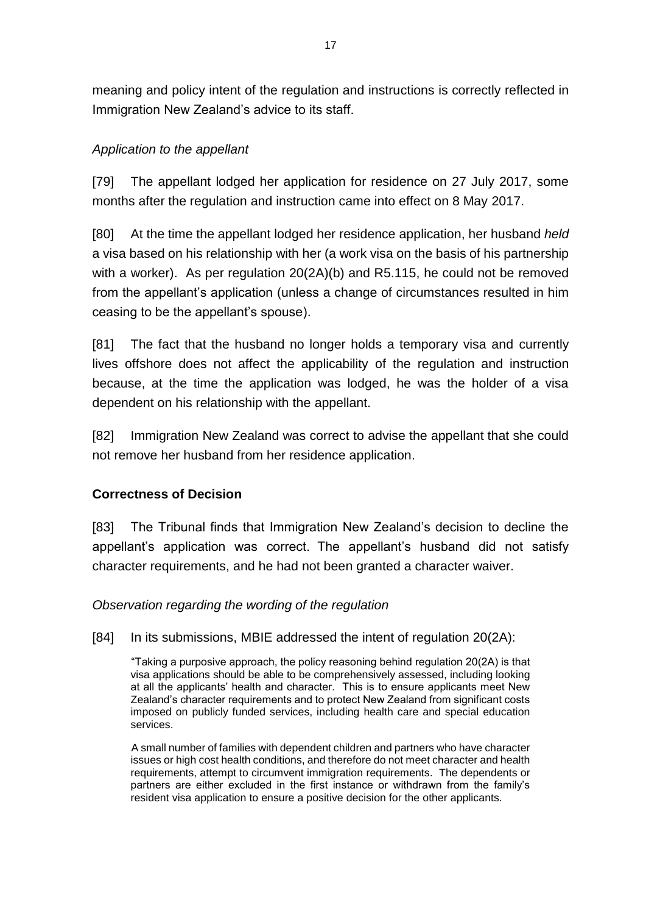meaning and policy intent of the regulation and instructions is correctly reflected in Immigration New Zealand's advice to its staff.

## *Application to the appellant*

[79] The appellant lodged her application for residence on 27 July 2017, some months after the regulation and instruction came into effect on 8 May 2017.

[80] At the time the appellant lodged her residence application, her husband *held* a visa based on his relationship with her (a work visa on the basis of his partnership with a worker). As per regulation 20(2A)(b) and R5.115, he could not be removed from the appellant's application (unless a change of circumstances resulted in him ceasing to be the appellant's spouse).

[81] The fact that the husband no longer holds a temporary visa and currently lives offshore does not affect the applicability of the regulation and instruction because, at the time the application was lodged, he was the holder of a visa dependent on his relationship with the appellant.

[82] Immigration New Zealand was correct to advise the appellant that she could not remove her husband from her residence application.

# **Correctness of Decision**

[83] The Tribunal finds that Immigration New Zealand's decision to decline the appellant's application was correct. The appellant's husband did not satisfy character requirements, and he had not been granted a character waiver.

## *Observation regarding the wording of the regulation*

[84] In its submissions, MBIE addressed the intent of regulation 20(2A):

"Taking a purposive approach, the policy reasoning behind regulation 20(2A) is that visa applications should be able to be comprehensively assessed, including looking at all the applicants' health and character. This is to ensure applicants meet New Zealand's character requirements and to protect New Zealand from significant costs imposed on publicly funded services, including health care and special education services.

A small number of families with dependent children and partners who have character issues or high cost health conditions, and therefore do not meet character and health requirements, attempt to circumvent immigration requirements. The dependents or partners are either excluded in the first instance or withdrawn from the family's resident visa application to ensure a positive decision for the other applicants.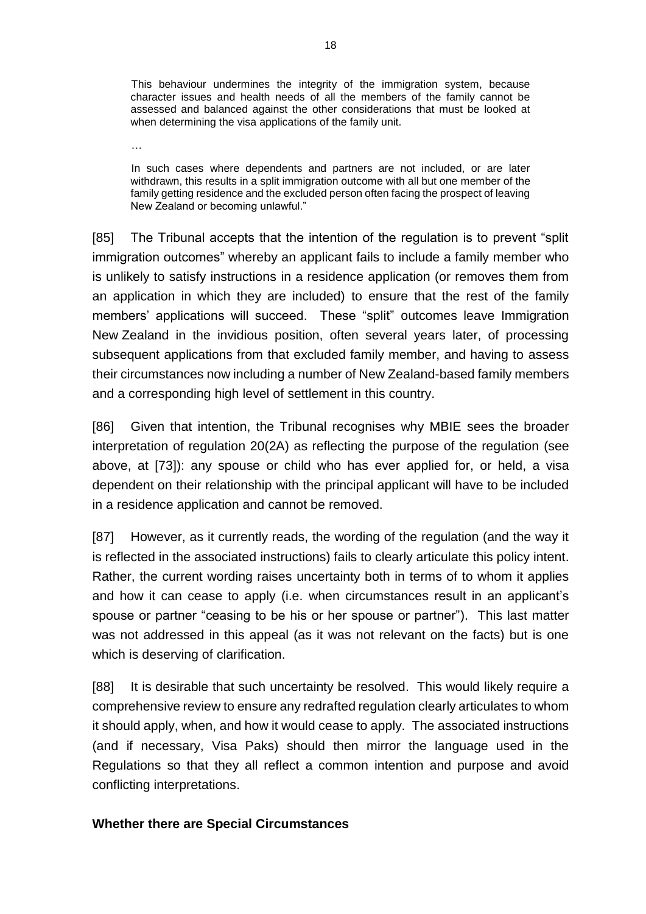This behaviour undermines the integrity of the immigration system, because character issues and health needs of all the members of the family cannot be assessed and balanced against the other considerations that must be looked at when determining the visa applications of the family unit.

…

In such cases where dependents and partners are not included, or are later withdrawn, this results in a split immigration outcome with all but one member of the family getting residence and the excluded person often facing the prospect of leaving New Zealand or becoming unlawful."

[85] The Tribunal accepts that the intention of the regulation is to prevent "split immigration outcomes" whereby an applicant fails to include a family member who is unlikely to satisfy instructions in a residence application (or removes them from an application in which they are included) to ensure that the rest of the family members' applications will succeed. These "split" outcomes leave Immigration New Zealand in the invidious position, often several years later, of processing subsequent applications from that excluded family member, and having to assess their circumstances now including a number of New Zealand-based family members and a corresponding high level of settlement in this country.

[86] Given that intention, the Tribunal recognises why MBIE sees the broader interpretation of regulation 20(2A) as reflecting the purpose of the regulation (see above, at [73]): any spouse or child who has ever applied for, or held, a visa dependent on their relationship with the principal applicant will have to be included in a residence application and cannot be removed.

[87] However, as it currently reads, the wording of the regulation (and the way it is reflected in the associated instructions) fails to clearly articulate this policy intent. Rather, the current wording raises uncertainty both in terms of to whom it applies and how it can cease to apply (i.e. when circumstances result in an applicant's spouse or partner "ceasing to be his or her spouse or partner"). This last matter was not addressed in this appeal (as it was not relevant on the facts) but is one which is deserving of clarification.

[88] It is desirable that such uncertainty be resolved. This would likely require a comprehensive review to ensure any redrafted regulation clearly articulates to whom it should apply, when, and how it would cease to apply. The associated instructions (and if necessary, Visa Paks) should then mirror the language used in the Regulations so that they all reflect a common intention and purpose and avoid conflicting interpretations.

#### **Whether there are Special Circumstances**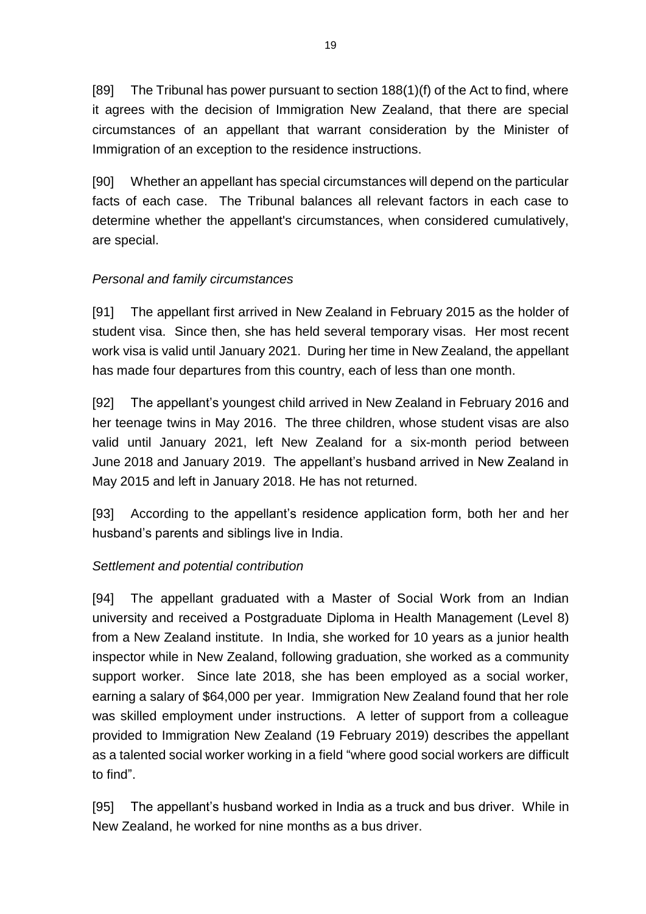[89] The Tribunal has power pursuant to section 188(1)(f) of the Act to find, where it agrees with the decision of Immigration New Zealand, that there are special circumstances of an appellant that warrant consideration by the Minister of Immigration of an exception to the residence instructions.

[90] Whether an appellant has special circumstances will depend on the particular facts of each case. The Tribunal balances all relevant factors in each case to determine whether the appellant's circumstances, when considered cumulatively, are special.

# *Personal and family circumstances*

[91] The appellant first arrived in New Zealand in February 2015 as the holder of student visa. Since then, she has held several temporary visas. Her most recent work visa is valid until January 2021. During her time in New Zealand, the appellant has made four departures from this country, each of less than one month.

[92] The appellant's youngest child arrived in New Zealand in February 2016 and her teenage twins in May 2016. The three children, whose student visas are also valid until January 2021, left New Zealand for a six-month period between June 2018 and January 2019. The appellant's husband arrived in New Zealand in May 2015 and left in January 2018. He has not returned.

[93] According to the appellant's residence application form, both her and her husband's parents and siblings live in India.

## *Settlement and potential contribution*

[94] The appellant graduated with a Master of Social Work from an Indian university and received a Postgraduate Diploma in Health Management (Level 8) from a New Zealand institute. In India, she worked for 10 years as a junior health inspector while in New Zealand, following graduation, she worked as a community support worker. Since late 2018, she has been employed as a social worker, earning a salary of \$64,000 per year. Immigration New Zealand found that her role was skilled employment under instructions. A letter of support from a colleague provided to Immigration New Zealand (19 February 2019) describes the appellant as a talented social worker working in a field "where good social workers are difficult to find".

[95] The appellant's husband worked in India as a truck and bus driver. While in New Zealand, he worked for nine months as a bus driver.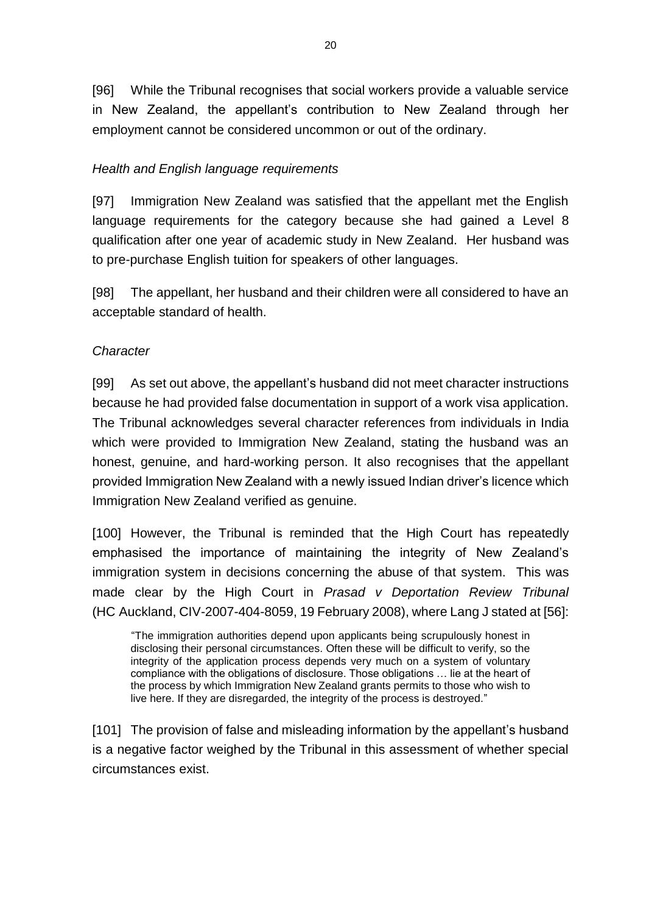[96] While the Tribunal recognises that social workers provide a valuable service in New Zealand, the appellant's contribution to New Zealand through her employment cannot be considered uncommon or out of the ordinary.

### *Health and English language requirements*

[97] Immigration New Zealand was satisfied that the appellant met the English language requirements for the category because she had gained a Level 8 qualification after one year of academic study in New Zealand. Her husband was to pre-purchase English tuition for speakers of other languages.

[98] The appellant, her husband and their children were all considered to have an acceptable standard of health.

#### *Character*

[99] As set out above, the appellant's husband did not meet character instructions because he had provided false documentation in support of a work visa application. The Tribunal acknowledges several character references from individuals in India which were provided to Immigration New Zealand, stating the husband was an honest, genuine, and hard-working person. It also recognises that the appellant provided Immigration New Zealand with a newly issued Indian driver's licence which Immigration New Zealand verified as genuine.

[100] However, the Tribunal is reminded that the High Court has repeatedly emphasised the importance of maintaining the integrity of New Zealand's immigration system in decisions concerning the abuse of that system. This was made clear by the High Court in *Prasad v Deportation Review Tribunal*  (HC Auckland, CIV-2007-404-8059, 19 February 2008), where Lang J stated at [56]:

"The immigration authorities depend upon applicants being scrupulously honest in disclosing their personal circumstances. Often these will be difficult to verify, so the integrity of the application process depends very much on a system of voluntary compliance with the obligations of disclosure. Those obligations … lie at the heart of the process by which Immigration New Zealand grants permits to those who wish to live here. If they are disregarded, the integrity of the process is destroyed."

[101] The provision of false and misleading information by the appellant's husband is a negative factor weighed by the Tribunal in this assessment of whether special circumstances exist.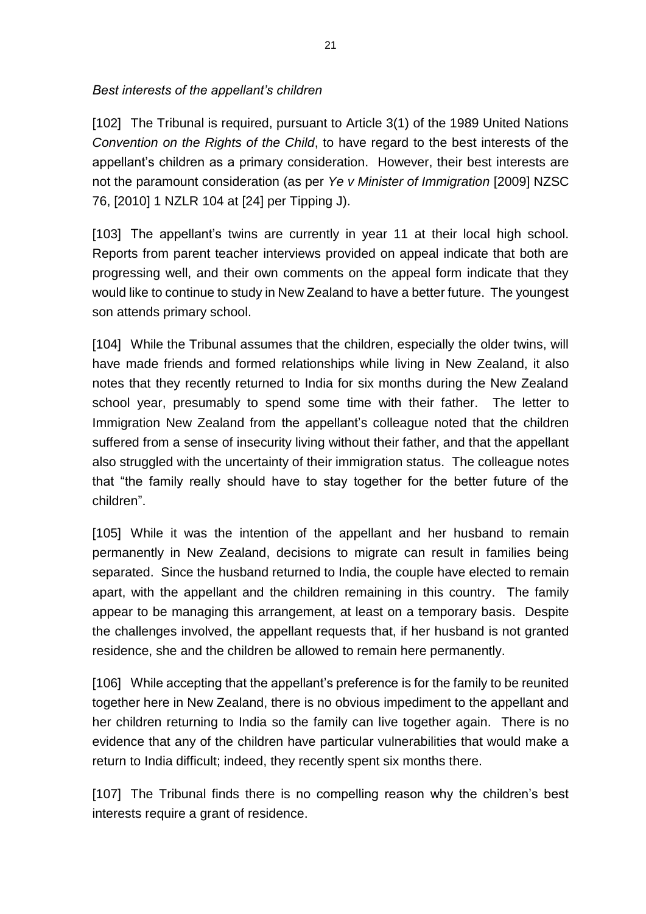*Best interests of the appellant's children* 

[102] The Tribunal is required, pursuant to Article 3(1) of the 1989 United Nations *Convention on the Rights of the Child*, to have regard to the best interests of the appellant's children as a primary consideration. However, their best interests are not the paramount consideration (as per *Ye v Minister of Immigration* [2009] NZSC 76, [2010] 1 NZLR 104 at [24] per Tipping J).

[103] The appellant's twins are currently in year 11 at their local high school. Reports from parent teacher interviews provided on appeal indicate that both are progressing well, and their own comments on the appeal form indicate that they would like to continue to study in New Zealand to have a better future. The youngest son attends primary school.

[104] While the Tribunal assumes that the children, especially the older twins, will have made friends and formed relationships while living in New Zealand, it also notes that they recently returned to India for six months during the New Zealand school year, presumably to spend some time with their father. The letter to Immigration New Zealand from the appellant's colleague noted that the children suffered from a sense of insecurity living without their father, and that the appellant also struggled with the uncertainty of their immigration status. The colleague notes that "the family really should have to stay together for the better future of the children".

[105] While it was the intention of the appellant and her husband to remain permanently in New Zealand, decisions to migrate can result in families being separated. Since the husband returned to India, the couple have elected to remain apart, with the appellant and the children remaining in this country. The family appear to be managing this arrangement, at least on a temporary basis. Despite the challenges involved, the appellant requests that, if her husband is not granted residence, she and the children be allowed to remain here permanently.

[106] While accepting that the appellant's preference is for the family to be reunited together here in New Zealand, there is no obvious impediment to the appellant and her children returning to India so the family can live together again. There is no evidence that any of the children have particular vulnerabilities that would make a return to India difficult; indeed, they recently spent six months there.

[107] The Tribunal finds there is no compelling reason why the children's best interests require a grant of residence.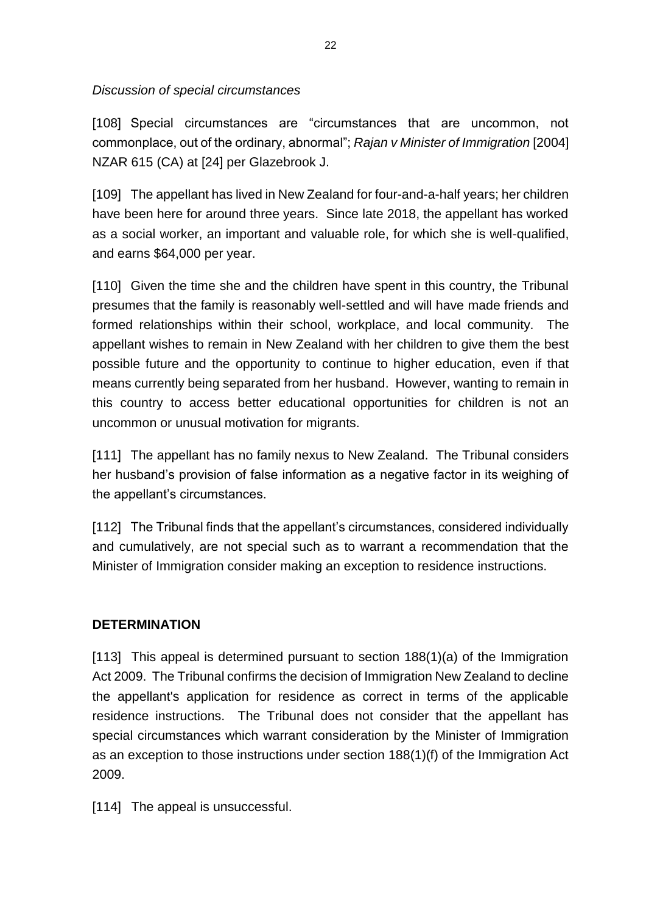*Discussion of special circumstances*

[108] Special circumstances are "circumstances that are uncommon, not commonplace, out of the ordinary, abnormal"; *Rajan v Minister of Immigration* [2004] NZAR 615 (CA) at [24] per Glazebrook J.

[109] The appellant has lived in New Zealand for four-and-a-half years; her children have been here for around three years. Since late 2018, the appellant has worked as a social worker, an important and valuable role, for which she is well-qualified, and earns \$64,000 per year.

[110] Given the time she and the children have spent in this country, the Tribunal presumes that the family is reasonably well-settled and will have made friends and formed relationships within their school, workplace, and local community. The appellant wishes to remain in New Zealand with her children to give them the best possible future and the opportunity to continue to higher education, even if that means currently being separated from her husband. However, wanting to remain in this country to access better educational opportunities for children is not an uncommon or unusual motivation for migrants.

[111] The appellant has no family nexus to New Zealand. The Tribunal considers her husband's provision of false information as a negative factor in its weighing of the appellant's circumstances.

[112] The Tribunal finds that the appellant's circumstances, considered individually and cumulatively, are not special such as to warrant a recommendation that the Minister of Immigration consider making an exception to residence instructions.

#### **DETERMINATION**

[113] This appeal is determined pursuant to section 188(1)(a) of the Immigration Act 2009. The Tribunal confirms the decision of Immigration New Zealand to decline the appellant's application for residence as correct in terms of the applicable residence instructions. The Tribunal does not consider that the appellant has special circumstances which warrant consideration by the Minister of Immigration as an exception to those instructions under section 188(1)(f) of the Immigration Act 2009.

[114] The appeal is unsuccessful.